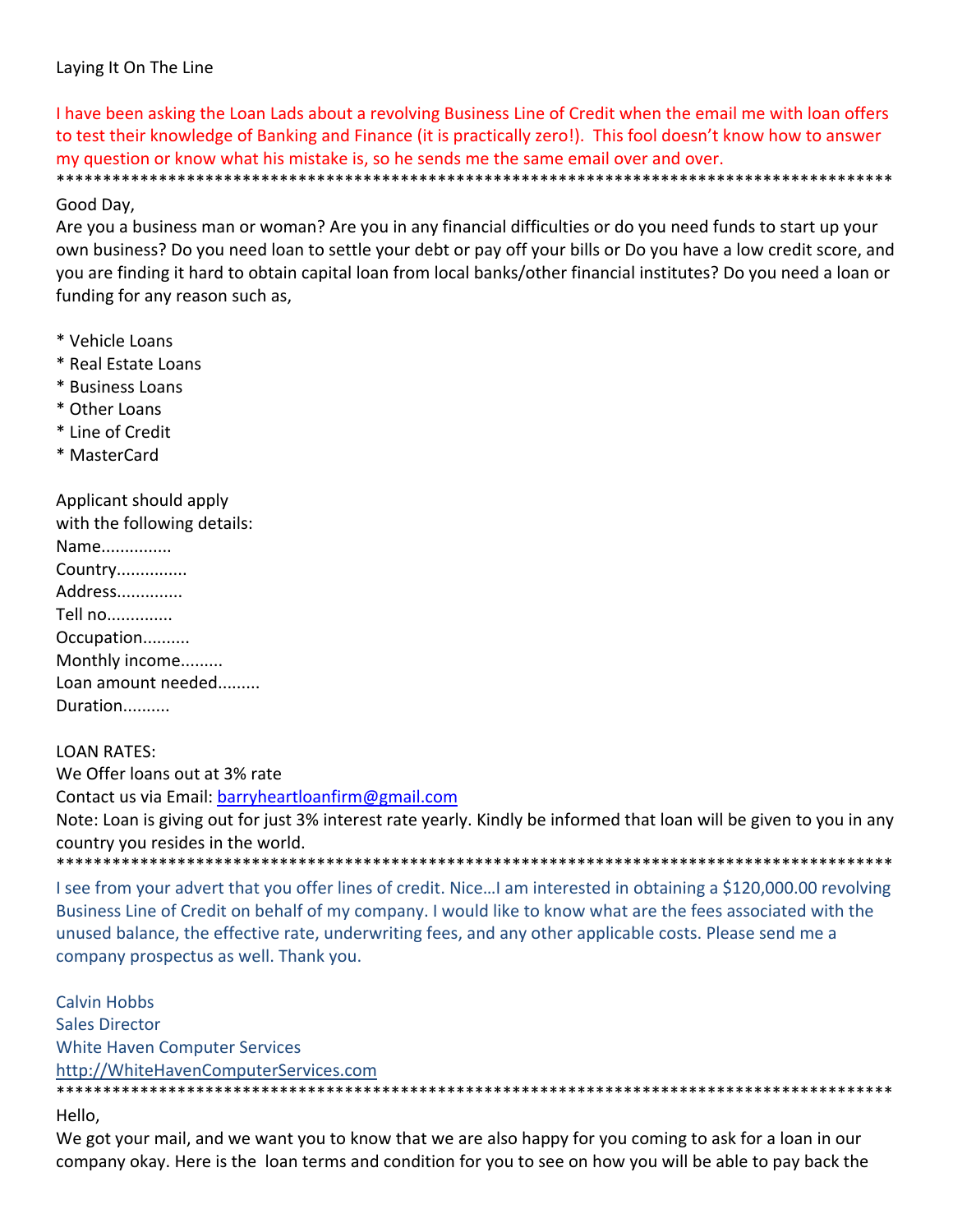### Laying It On The Line

I have been asking the Loan Lads about a revolving Business Line of Credit when the email me with loan offers to test their knowledge of Banking and Finance (it is practically zero!). This fool doesn't know how to answer my question or know what his mistake is, so he sends me the same email over and over. \*\*\*\*\*\*\*\*\*\*\*\*\*\*\*\*\*\*\*\*\*\*\*\*\*\*\*\*\*\*\*\*\*\*\*\*\*\*\*\*\*\*\*\*\*\*\*\*\*\*\*\*\*\*\*\*\*\*\*\*\*\*\*\*\*\*\*\*\*\*\*\*\*\*\*\*\*\*\*\*\*\*\*\*\*\*\*\*\*\*

### Good Day,

Are you a business man or woman? Are you in any financial difficulties or do you need funds to start up your own business? Do you need loan to settle your debt or pay off your bills or Do you have a low credit score, and you are finding it hard to obtain capital loan from local banks/other financial institutes? Do you need a loan or funding for any reason such as,

- \* Vehicle Loans
- \* Real Estate Loans
- \* Business Loans
- \* Other Loans
- \* Line of Credit
- \* MasterCard

| Applicant should apply<br>with the following details: |
|-------------------------------------------------------|
| Name                                                  |
| Country                                               |
| Address                                               |
| Tell no                                               |
| Occupation                                            |
| Monthly income                                        |
| Loan amount needed                                    |
| Duration                                              |

## LOAN RATES: We Offer loans out at 3% rate Contact us via Email: barryheartloanfirm@gmail.com Note: Loan is giving out for just 3% interest rate yearly. Kindly be informed that loan will be given to you in any country you resides in the world. \*\*\*\*\*\*\*\*\*\*\*\*\*\*\*\*\*\*\*\*\*\*\*\*\*\*\*\*\*\*\*\*\*\*\*\*\*\*\*\*\*\*\*\*\*\*\*\*\*\*\*\*\*\*\*\*\*\*\*\*\*\*\*\*\*\*\*\*\*\*\*\*\*\*\*\*\*\*\*\*\*\*\*\*\*\*\*\*\*\*

I see from your advert that you offer lines of credit. Nice…I am interested in obtaining a \$120,000.00 revolving Business Line of Credit on behalf of my company. I would like to know what are the fees associated with the unused balance, the effective rate, underwriting fees, and any other applicable costs. Please send me a company prospectus as well. Thank you.

Calvin Hobbs Sales Director White Haven Computer Services http://WhiteHavenComputerServices.com \*\*\*\*\*\*\*\*\*\*\*\*\*\*\*\*\*\*\*\*\*\*\*\*\*\*\*\*\*\*\*\*\*\*\*\*\*\*\*\*\*\*\*\*\*\*\*\*\*\*\*\*\*\*\*\*\*\*\*\*\*\*\*\*\*\*\*\*\*\*\*\*\*\*\*\*\*\*\*\*\*\*\*\*\*\*\*\*\*\*

Hello,

We got your mail, and we want you to know that we are also happy for you coming to ask for a loan in our company okay. Here is the loan terms and condition for you to see on how you will be able to pay back the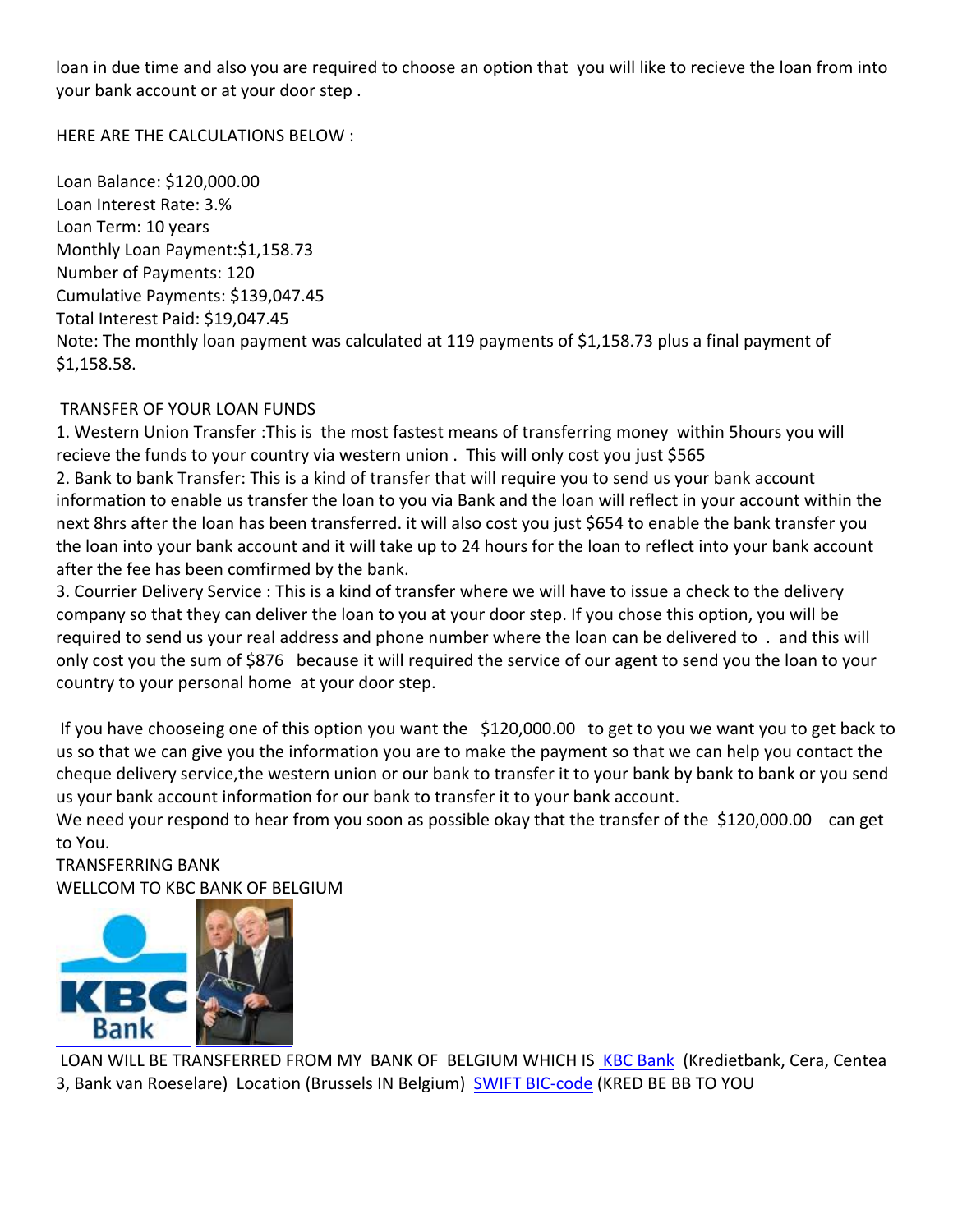loan in due time and also you are required to choose an option that you will like to recieve the loan from into your bank account or at your door step .

HERE ARE THE CALCULATIONS BELOW :

Loan Balance: \$120,000.00 Loan Interest Rate: 3.% Loan Term: 10 years Monthly Loan Payment:\$1,158.73 Number of Payments: 120 Cumulative Payments: \$139,047.45 Total Interest Paid: \$19,047.45 Note: The monthly loan payment was calculated at 119 payments of \$1,158.73 plus a final payment of \$1,158.58.

# TRANSFER OF YOUR LOAN FUNDS

1. Western Union Transfer :This is the most fastest means of transferring money within 5hours you will recieve the funds to your country via western union . This will only cost you just \$565 2. Bank to bank Transfer: This is a kind of transfer that will require you to send us your bank account information to enable us transfer the loan to you via Bank and the loan will reflect in your account within the next 8hrs after the loan has been transferred. it will also cost you just \$654 to enable the bank transfer you the loan into your bank account and it will take up to 24 hours for the loan to reflect into your bank account after the fee has been comfirmed by the bank.

3. Courrier Delivery Service : This is a kind of transfer where we will have to issue a check to the delivery company so that they can deliver the loan to you at your door step. If you chose this option, you will be required to send us your real address and phone number where the loan can be delivered to . and this will only cost you the sum of \$876 because it will required the service of our agent to send you the loan to your country to your personal home at your door step.

If you have chooseing one of this option you want the \$120,000.00 to get to you we want you to get back to us so that we can give you the information you are to make the payment so that we can help you contact the cheque delivery service,the western union or our bank to transfer it to your bank by bank to bank or you send us your bank account information for our bank to transfer it to your bank account.

We need your respond to hear from you soon as possible okay that the transfer of the \$120,000.00 can get to You.

TRANSFERRING BANK WELLCOM TO KBC BANK OF BELGIUM



LOAN WILL BE TRANSFERRED FROM MY BANK OF BELGIUM WHICH IS KBC Bank (Kredietbank, Cera, Centea 3, Bank van Roeselare) Location (Brussels IN Belgium) SWIFT BIC-code (KRED BE BB TO YOU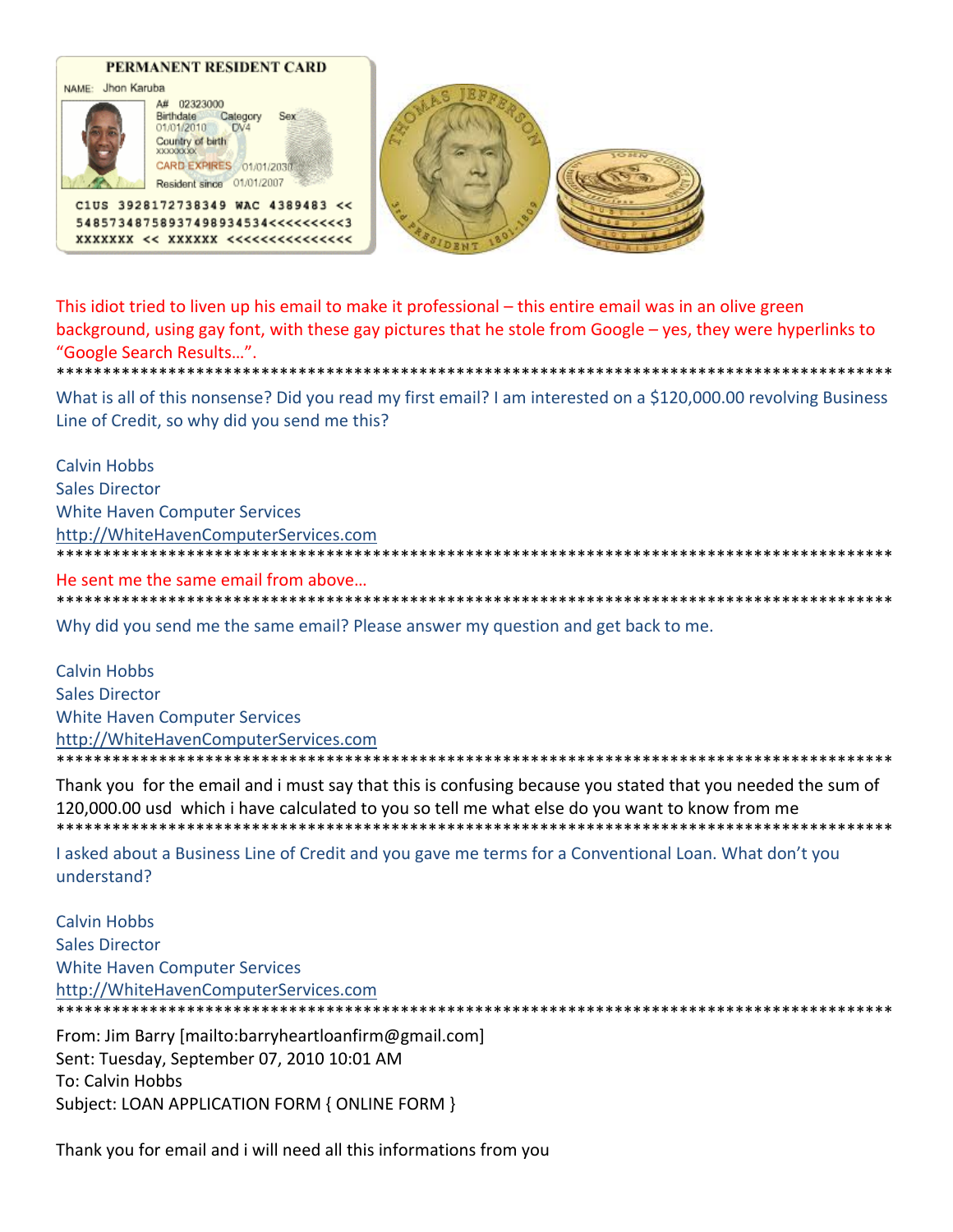

This idiot tried to liven up his email to make it professional – this entire email was in an olive green background, using gay font, with these gay pictures that he stole from Google – yes, they were hyperlinks to "Google Search Results...".

What is all of this nonsense? Did you read my first email? I am interested on a \$120,000.00 revolving Business Line of Credit, so why did you send me this?

**Calvin Hobbs Sales Director White Haven Computer Services** http://WhiteHavenComputerServices.com He sent me the same email from above... 

Why did you send me the same email? Please answer my question and get back to me.

**Calvin Hobbs Sales Director White Haven Computer Services** http://WhiteHavenComputerServices.com

Thank you for the email and i must say that this is confusing because you stated that you needed the sum of 120,000.00 usd which i have calculated to you so tell me what else do you want to know from me

\*\*\*\*\*\*\*\*\*\*\*\*\*\*\*\*\*\*

I asked about a Business Line of Credit and you gave me terms for a Conventional Loan. What don't you understand?

**Calvin Hobbs Sales Director White Haven Computer Services** http://WhiteHavenComputerServices.com 

From: Jim Barry [mailto:barryheartloanfirm@gmail.com] Sent: Tuesday, September 07, 2010 10:01 AM To: Calvin Hobbs Subject: LOAN APPLICATION FORM { ONLINE FORM }

Thank you for email and i will need all this informations from you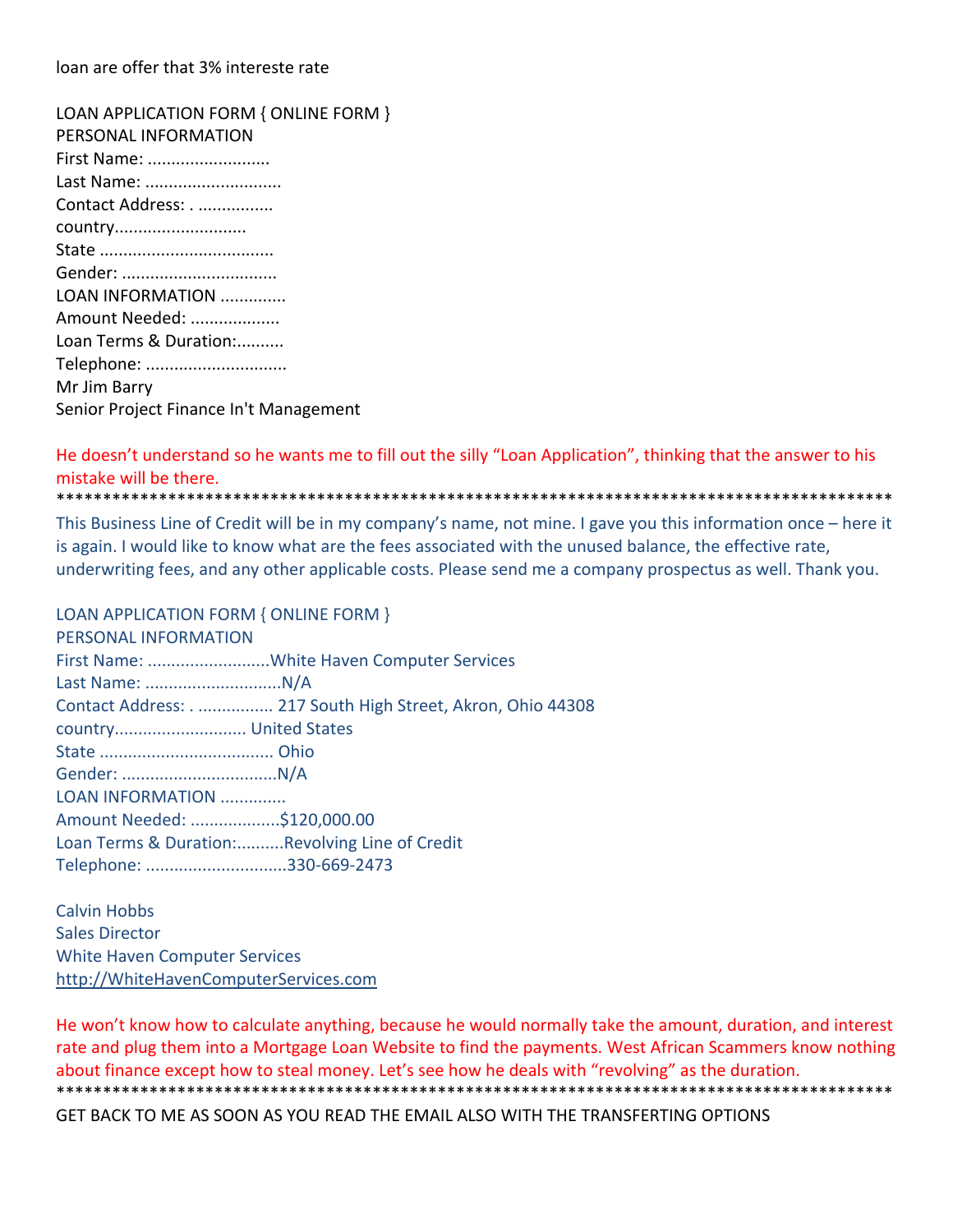loan are offer that 3% intereste rate

LOAN APPLICATION FORM { ONLINE FORM } PERSONAL INFORMATION First Name: .......................... Last Name: ............................. Contact Address: . ................ country............................ State ..................................... Gender: ................................... LOAN INFORMATION .............. Amount Needed: ................... Loan Terms & Duration:.......... Telephone: ............................... Mr Jim Barry Senior Project Finance In't Management

He doesn't understand so he wants me to fill out the silly "Loan Application", thinking that the answer to his mistake will be there. \*\*\*\*\*\*\*\*\*\*\*\*\*\*\*\*\*\*\*\*\*\*\*\*\*\*\*\*\*\*\*\*\*\*\*\*\*\*\*\*\*\*\*\*\*\*\*\*\*\*\*\*\*\*\*\*\*\*\*\*\*\*\*\*\*\*\*\*\*\*\*\*\*\*\*\*\*\*\*\*\*\*\*\*\*\*\*\*\*\*

This Business Line of Credit will be in my company's name, not mine. I gave you this information once – here it is again. I would like to know what are the fees associated with the unused balance, the effective rate, underwriting fees, and any other applicable costs. Please send me a company prospectus as well. Thank you.

#### LOAN APPLICATION FORM { ONLINE FORM }

| PERSONAL INFORMATION        |                                                           |  |
|-----------------------------|-----------------------------------------------------------|--|
|                             |                                                           |  |
|                             |                                                           |  |
|                             | Contact Address: 217 South High Street, Akron, Ohio 44308 |  |
|                             |                                                           |  |
|                             |                                                           |  |
|                             |                                                           |  |
| LOAN INFORMATION            |                                                           |  |
| Amount Needed: \$120,000.00 |                                                           |  |
|                             | Loan Terms & Duration:Revolving Line of Credit            |  |
| Telephone: 330-669-2473     |                                                           |  |
|                             |                                                           |  |

Calvin Hobbs Sales Director White Haven Computer Services http://WhiteHavenComputerServices.com

He won't know how to calculate anything, because he would normally take the amount, duration, and interest rate and plug them into a Mortgage Loan Website to find the payments. West African Scammers know nothing about finance except how to steal money. Let's see how he deals with "revolving" as the duration. \*\*\*\*\*\*\*\*\*\*\*\*\*\*\*\*\*\*\*\*\*\*\*\*\*\*\*\*\*\*\*\*\*\*\*\*\*\*\*\*\*\*\*\*\*\*\*\*\*\*\*\*\*\*\*\*\*\*\*\*\*\*\*\*\*\*\*\*\*\*\*\*\*\*\*\*\*\*\*\*\*\*\*\*\*\*\*\*\*\* GET BACK TO ME AS SOON AS YOU READ THE EMAIL ALSO WITH THE TRANSFERTING OPTIONS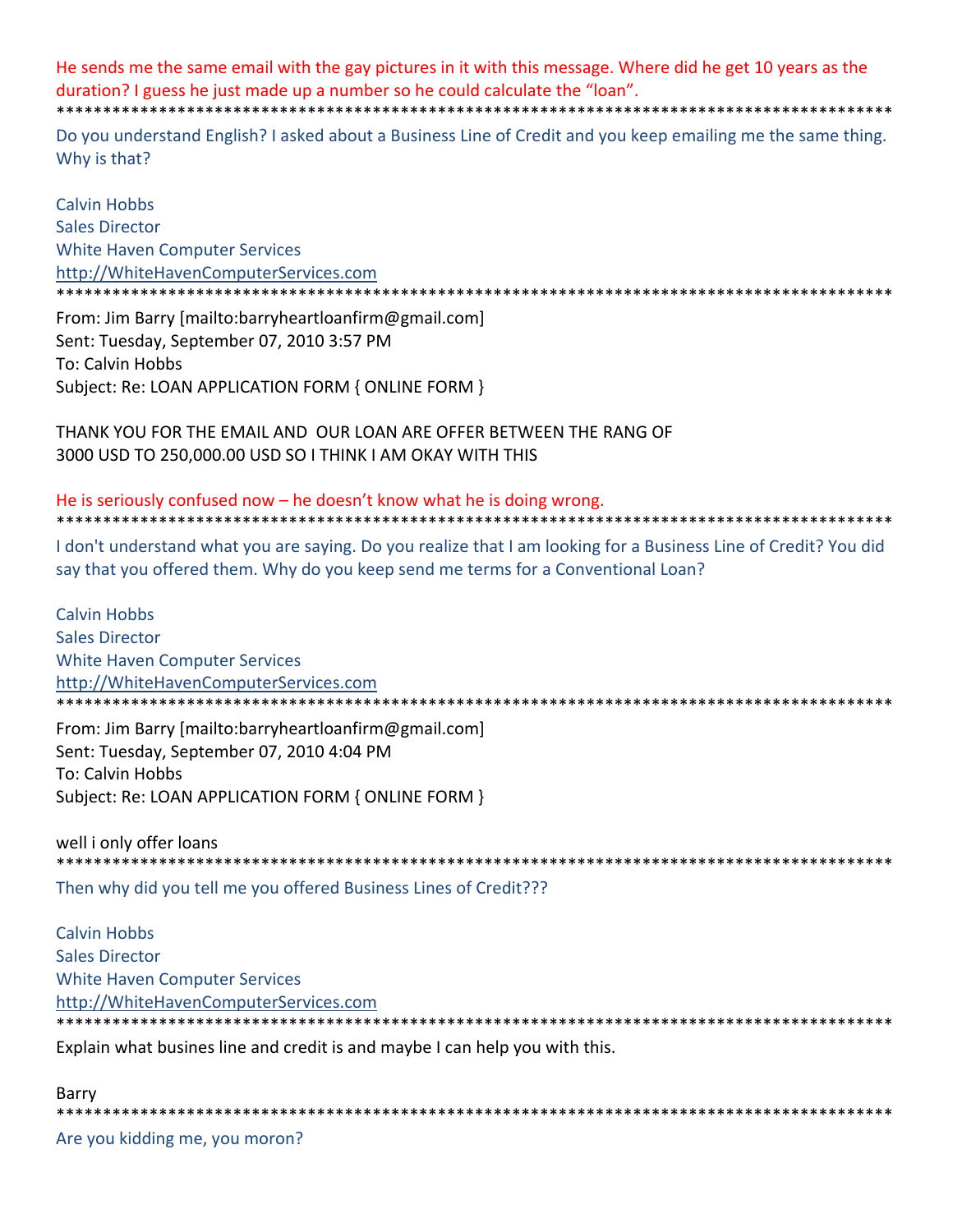He sends me the same email with the gay pictures in it with this message. Where did he get 10 years as the duration? I guess he just made up a number so he could calculate the "loan".

Do you understand English? I asked about a Business Line of Credit and you keep emailing me the same thing. Why is that?

**Calvin Hobbs Sales Director White Haven Computer Services** http://WhiteHavenComputerServices.com 

From: Jim Barry [mailto:barryheartloanfirm@gmail.com] Sent: Tuesday, September 07, 2010 3:57 PM **To: Calvin Hobbs** Subject: Re: LOAN APPLICATION FORM { ONLINE FORM }

THANK YOU FOR THE EMAIL AND OUR LOAN ARE OFFER BETWEEN THE RANG OF 3000 USD TO 250,000.00 USD SO I THINK I AM OKAY WITH THIS

He is seriously confused now – he doesn't know what he is doing wrong. \*\*\*\*\*\*\*\*\*\*\*\*\*\*\*\*\*\*\*\*\*\*\*\*\*\*\*\*\*\*\*\*\*\*\*

I don't understand what you are saying. Do you realize that I am looking for a Business Line of Credit? You did say that you offered them. Why do you keep send me terms for a Conventional Loan?

**Calvin Hobbs Sales Director White Haven Computer Services** http://WhiteHavenComputerServices.com \*\*\*\*\*\*\*\*\*\*\*\*\*\*\*\*\*\*\*\*\*\*\*\*\*\*\*\*\*\*\*\*\*\*\*

From: Jim Barry [mailto:barryheartloanfirm@gmail.com] Sent: Tuesday, September 07, 2010 4:04 PM To: Calvin Hobbs Subject: Re: LOAN APPLICATION FORM { ONLINE FORM }

well i only offer loans 

Then why did you tell me you offered Business Lines of Credit???

**Calvin Hobbs Sales Director White Haven Computer Services** http://WhiteHavenComputerServices.com \*\*\*\*\*\*\*\*\*\*\*\*\*\*\*\*\*\*\*\*\*\*\*\*\*\*\*\*\*\*\*\*\*\*\*

Explain what busines line and credit is and maybe I can help you with this.

Barry \*\*\*\*\*\*\*\*\*\*\*\*\*\*\*\*\*\*\*\*\*\* Are you kidding me, you moron?